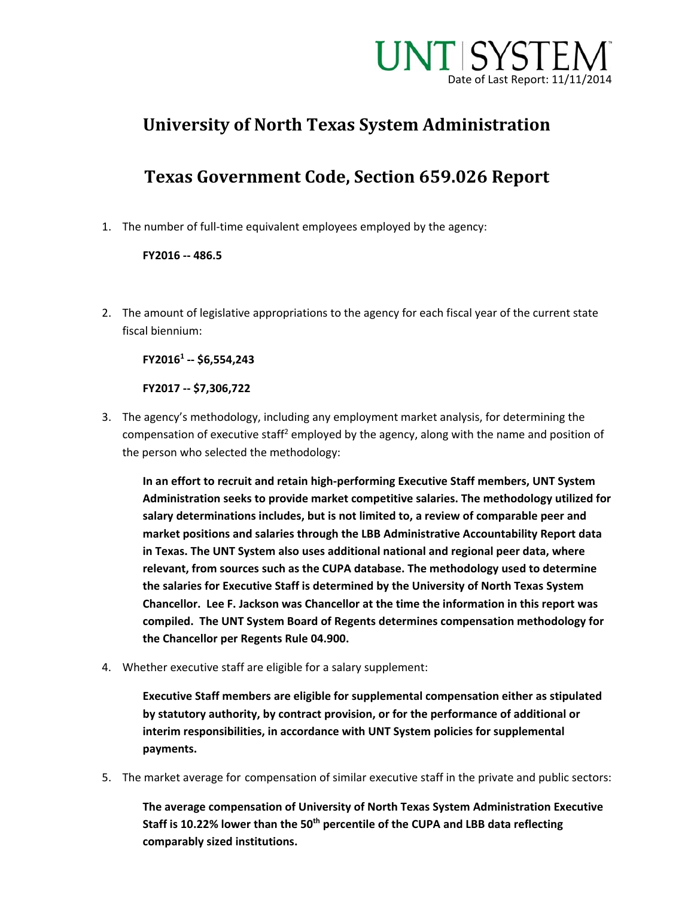

# **University of North Texas System Administration**

# **Texas Government Code, Section 659.026 Report**

1. The number of full-time equivalent employees employed by the agency:

#### **FY2016 ‐‐ 486.5**

2. The amount of legislative appropriations to the agency for each fiscal year of the current state fiscal biennium:

**FY20161 ‐‐ \$6,554,243**

**FY2017 ‐‐ \$7,306,722**

3. The agency's methodology, including any employment market analysis, for determining the compensation of executive staff<sup>2</sup> employed by the agency, along with the name and position of the person who selected the methodology:

**In an effort to recruit and retain high‐performing Executive Staff members, UNT System Administration seeks to provide market competitive salaries. The methodology utilized for salary determinations includes, but is not limited to, a review of comparable peer and market positions and salaries through the LBB Administrative Accountability Report data in Texas. The UNT System also uses additional national and regional peer data, where relevant, from sources such as the CUPA database. The methodology used to determine the salaries for Executive Staff is determined by the University of North Texas System Chancellor. Lee F. Jackson was Chancellor at the time the information in this report was compiled. The UNT System Board of Regents determines compensation methodology for the Chancellor per Regents Rule 04.900.** 

4. Whether executive staff are eligible for a salary supplement:

**Executive Staff members are eligible for supplemental compensation either as stipulated by statutory authority, by contract provision, or for the performance of additional or interim responsibilities, in accordance with UNT System policies for supplemental payments.**

5. The market average for compensation of similar executive staff in the private and public sectors:

**The average compensation of University of North Texas System Administration Executive Staff is 10.22% lower than the 50th percentile of the CUPA and LBB data reflecting comparably sized institutions.**